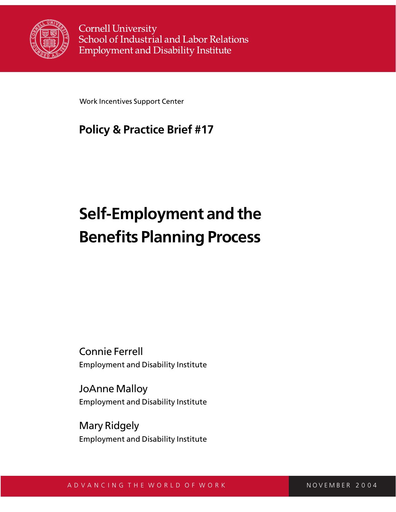

**Cornell University** School of Industrial and Labor Relations **Employment and Disability Institute** 

Work Incentives Support Center

## **Policy & Practice Brief #17**

# **Self-Employment and the Benefits Planning Process**

Connie Ferrell Employment and Disability Institute

JoAnne Malloy Employment and Disability Institute

Mary Ridgely Employment and Disability Institute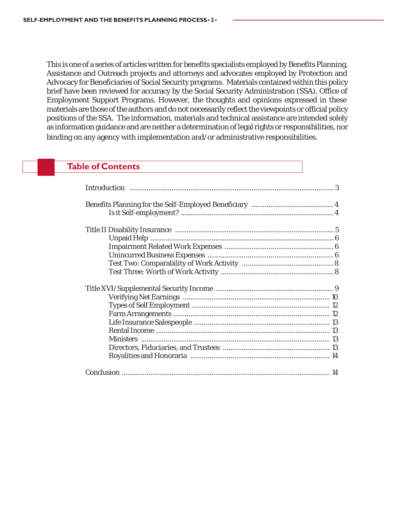This is one of a series of articles written for benefits specialists employed by Benefits Planning, Assistance and Outreach projects and attorneys and advocates employed by Protection and Advocacy for Beneficiaries of Social Security programs. Materials contained within this policy brief have been reviewed for accuracy by the Social Security Administration (SSA), Office of Employment Support Programs. However, the thoughts and opinions expressed in these materials are those of the authors and do not necessarily reflect the viewpoints or official policy positions of the SSA. The information, materials and technical assistance are intended solely as information guidance and are neither a determination of legal rights or responsibilities, nor binding on any agency with implementation and/or administrative responsibilities.

## **Table of Contents**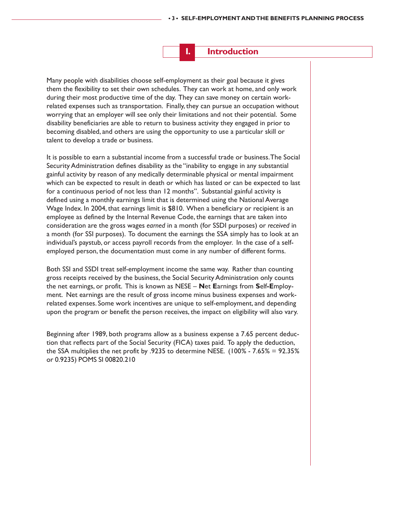## **I. Introduction**

Many people with disabilities choose self-employment as their goal because it gives them the flexibility to set their own schedules. They can work at home, and only work during their most productive time of the day. They can save money on certain workrelated expenses such as transportation. Finally, they can pursue an occupation without worrying that an employer will see only their limitations and not their potential. Some disability beneficiaries are able to return to business activity they engaged in prior to becoming disabled, and others are using the opportunity to use a particular skill or talent to develop a trade or business.

It is possible to earn a substantial income from a successful trade or business. The Social Security Administration defines disability as the "inability to engage in any substantial gainful activity by reason of any medically determinable physical or mental impairment which can be expected to result in death or which has lasted or can be expected to last for a continuous period of not less than 12 months". Substantial gainful activity is defined using a monthly earnings limit that is determined using the National Average Wage Index. In 2004, that earnings limit is \$810. When a beneficiary or recipient is an employee as defined by the Internal Revenue Code, the earnings that are taken into consideration are the gross wages *earned* in a month (for SSDI purposes) or *received* in a month (for SSI purposes). To document the earnings the SSA simply has to look at an individual's paystub, or access payroll records from the employer. In the case of a selfemployed person, the documentation must come in any number of different forms.

Both SSI and SSDI treat self-employment income the same way. Rather than counting gross receipts received by the business, the Social Security Administration only counts the net earnings, or profit. This is known as NESE – **N**et **E**arnings from **S**elf**-E**mployment. Net earnings are the result of gross income minus business expenses and workrelated expenses. Some work incentives are unique to self-employment, and depending upon the program or benefit the person receives, the impact on eligibility will also vary.

Beginning after 1989, both programs allow as a business expense a 7.65 percent deduction that reflects part of the Social Security (FICA) taxes paid. To apply the deduction, the SSA multiplies the net profit by .9235 to determine NESE. (100% - 7.65% = 92.35% or 0.9235) POMS SI 00820.210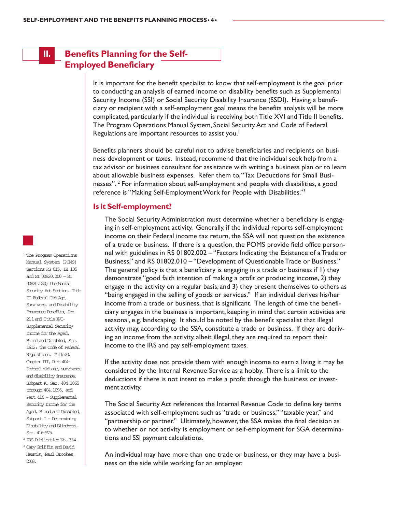## **II. Benefits Planning for the Self-Employed Beneficiary**

It is important for the benefit specialist to know that self-employment is the goal prior to conducting an analysis of earned income on disability benefits such as Supplemental Security Income (SSI) or Social Security Disability Insurance (SSDI). Having a beneficiary or recipient with a self-employment goal means the benefits analysis will be more complicated, particularly if the individual is receiving both Title XVI and Title II benefits. The Program Operations Manual System, Social Security Act and Code of Federal Regulations are important resources to assist you.<sup>1</sup>

Benefits planners should be careful not to advise beneficiaries and recipients on business development or taxes. Instead, recommend that the individual seek help from a tax advisor or business consultant for assistance with writing a business plan or to learn about allowable business expenses. Refer them to, "Tax Deductions for Small Businesses".<sup>2</sup> For information about self-employment and people with disabilities, a good reference is "Making Self-Employment Work for People with Disabilities."3

#### **Is it Self-employment?**

The Social Security Administration must determine whether a beneficiary is engaging in self-employment activity. Generally, if the individual reports self-employment income on their Federal income tax return, the SSA will not question the existence of a trade or business. If there is a question, the POMS provide field office personnel with guidelines in RS 01802.002 – "Factors Indicating the Existence of a Trade or Business," and RS 01802.010 - "Development of Questionable Trade or Business." The general policy is that a beneficiary is engaging in a trade or business if 1) they demonstrate "good faith intention of making a profit or producing income, 2) they engage in the activity on a regular basis, and 3) they present themselves to others as "being engaged in the selling of goods or services." If an individual derives his/her income from a trade or business, that is significant. The length of time the beneficiary engages in the business is important, keeping in mind that certain activities are seasonal, e.g. landscaping. It should be noted by the benefit specialist that illegal activity may, according to the SSA, constitute a trade or business. If they are deriving an income from the activity, albeit illegal, they are required to report their income to the IRS and pay self-employment taxes.

If the activity does not provide them with enough income to earn a living it may be considered by the Internal Revenue Service as a hobby. There is a limit to the deductions if there is not intent to make a profit through the business or investment activity.

The Social Security Act references the Internal Revenue Code to define key terms associated with self-employment such as "trade or business," "taxable year," and "partnership or partner." Ultimately, however, the SSA makes the final decision as to whether or not activity is employment or self-employment for SGA determinations and SSI payment calculations.

An individual may have more than one trade or business, or they may have a business on the side while working for an employer.

<sup>1</sup> The Program Operations Manual System (POMS) Sections RS 015, DI 105 and SI 00820.200 – SI 00820.230; the Social Security Act Section, Title II-Federal Old-Age, Survivors, and Disability Insurance Benefits, Sec. 211 and Title XVI-Supplemental Security Income for the Aged, Blind and Disabled, Sec. 1612; the Code of Federal Regulations. Title 20, Chapter III, Part 404- Federal old-age, survivors and disability insurance, Subpart K, Sec. 404.1065 through 404.1096, and Part 416 – Supplemental Security Income for the Aged, Blind and Disabled, Subpart I – Determining Disability and Blindness, Sec. 416-975.

2 IRS Publication No. 334. <sup>3</sup> Cary Griffin and David Hammis; Paul Brookes, 2003.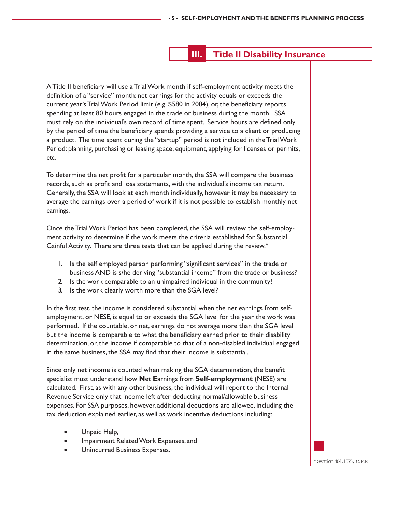## **III. Title II Disability Insurance**

A Title II beneficiary will use a Trial Work month if self-employment activity meets the definition of a "service" month: net earnings for the activity equals or exceeds the current year's Trial Work Period limit (e.g. \$580 in 2004), or, the beneficiary reports spending at least 80 hours engaged in the trade or business during the month. SSA must rely on the individual's own record of time spent. Service hours are defined only by the period of time the beneficiary spends providing a service to a client or producing a product. The time spent during the "startup" period is not included in the Trial Work Period: planning, purchasing or leasing space, equipment, applying for licenses or permits, etc.

To determine the net profit for a particular month, the SSA will compare the business records, such as profit and loss statements, with the individual's income tax return. Generally, the SSA will look at each month individually, however it may be necessary to average the earnings over a period of work if it is not possible to establish monthly net earnings.

Once the Trial Work Period has been completed, the SSA will review the self-employment activity to determine if the work meets the criteria established for Substantial Gainful Activity. There are three tests that can be applied during the review.<sup>4</sup>

- 1. Is the self employed person performing "significant services" in the trade or business AND is s/he deriving "substantial income" from the trade or business?
- 2. Is the work comparable to an unimpaired individual in the community?
- 3. Is the work clearly worth more than the SGA level?

In the first test, the income is considered substantial when the net earnings from selfemployment, or NESE, is equal to or exceeds the SGA level for the year the work was performed. If the countable, or net, earnings do not average more than the SGA level but the income is comparable to what the beneficiary earned prior to their disability determination, or, the income if comparable to that of a non-disabled individual engaged in the same business, the SSA may find that their income is substantial.

Since only net income is counted when making the SGA determination, the benefit specialist must understand how **N**et **E**arnings from **Self-employment** (NESE) are calculated. First, as with any other business, the individual will report to the Internal Revenue Service only that income left after deducting normal/allowable business expenses. For SSA purposes, however, additional deductions are allowed, including the tax deduction explained earlier, as well as work incentive deductions including:

- Unpaid Help,
- Impairment Related Work Expenses, and
- Unincurred Business Expenses.

4 Section 404.1575, C.F.R.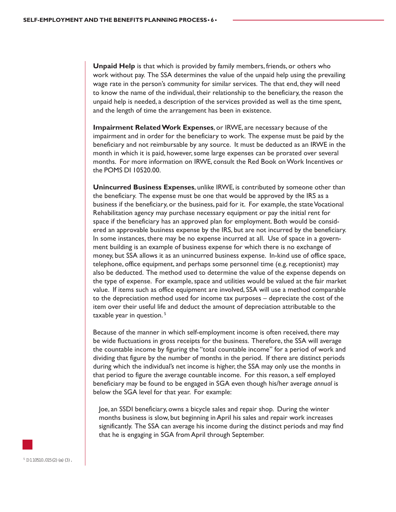**Unpaid Help** is that which is provided by family members, friends, or others who work without pay. The SSA determines the value of the unpaid help using the prevailing wage rate in the person's community for similar services. The that end, they will need to know the name of the individual, their relationship to the beneficiary, the reason the unpaid help is needed, a description of the services provided as well as the time spent, and the length of time the arrangement has been in existence.

**Impairment Related Work Expenses**, or IRWE, are necessary because of the impairment and in order for the beneficiary to work. The expense must be paid by the beneficiary and not reimbursable by any source. It must be deducted as an IRWE in the month in which it is paid, however, some large expenses can be prorated over several months. For more information on IRWE, consult the Red Book on Work Incentives or the POMS DI 10520.00.

**Unincurred Business Expenses**, unlike IRWE, is contributed by someone other than the beneficiary. The expense must be one that would be approved by the IRS as a business if the beneficiary, or the business, paid for it. For example, the state Vocational Rehabilitation agency may purchase necessary equipment or pay the initial rent for space if the beneficiary has an approved plan for employment. Both would be considered an approvable business expense by the IRS, but are not incurred by the beneficiary. In some instances, there may be no expense incurred at all. Use of space in a government building is an example of business expense for which there is no exchange of money, but SSA allows it as an unincurred business expense. In-kind use of office space, telephone, office equipment, and perhaps some personnel time (e.g. receptionist) may also be deducted. The method used to determine the value of the expense depends on the type of expense. For example, space and utilities would be valued at the fair market value. If items such as office equipment are involved, SSA will use a method comparable to the depreciation method used for income tax purposes – depreciate the cost of the item over their useful life and deduct the amount of depreciation attributable to the taxable year in question.<sup>5</sup>

Because of the manner in which self-employment income is often received, there may be wide fluctuations in gross receipts for the business. Therefore, the SSA will average the countable income by figuring the "total countable income" for a period of work and dividing that figure by the number of months in the period. If there are distinct periods during which the individual's net income is higher, the SSA may only use the months in that period to figure the average countable income. For this reason, a self employed beneficiary may be found to be engaged in SGA even though his/her average *annual* is below the SGA level for that year. For example:

Joe, an SSDI beneficiary, owns a bicycle sales and repair shop. During the winter months business is slow, but beginning in April his sales and repair work increases significantly. The SSA can average his income during the distinct periods and may find that he is engaging in SGA from April through September.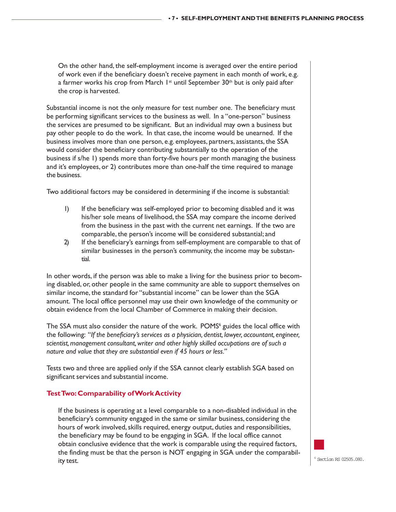On the other hand, the self-employment income is averaged over the entire period of work even if the beneficiary doesn't receive payment in each month of work, e.g. a farmer works his crop from March  $1<sup>st</sup>$  until September 30<sup>th</sup> but is only paid after the crop is harvested.

Substantial income is not the only measure for test number one. The beneficiary must be performing significant services to the business as well. In a "one-person" business the services are presumed to be significant. But an individual may own a business but pay other people to do the work. In that case, the income would be unearned. If the business involves more than one person, e.g. employees, partners, assistants, the SSA would consider the beneficiary contributing substantially to the operation of the business if s/he 1) spends more than forty-five hours per month managing the business and it's employees, or 2) contributes more than one-half the time required to manage the business.

Two additional factors may be considered in determining if the income is substantial:

- 1) If the beneficiary was self-employed prior to becoming disabled and it was his/her sole means of livelihood, the SSA may compare the income derived from the business in the past with the current net earnings. If the two are comparable, the person's income will be considered substantial; and
- 2) If the beneficiary's earnings from self-employment are comparable to that of similar businesses in the person's community, the income may be substantial.

In other words, if the person was able to make a living for the business prior to becoming disabled, or, other people in the same community are able to support themselves on similar income, the standard for "substantial income" can be lower than the SGA amount. The local office personnel may use their own knowledge of the community or obtain evidence from the local Chamber of Commerce in making their decision.

The SSA must also consider the nature of the work. POMS<sup>6</sup> guides the local office with the following: "*If the beneficiary's services as a physician, dentist, lawyer, accountant, engineer, scientist, management consultant, writer and other highly skilled occupations are of such a nature and value that they are substantial even if 45 hours or less."*

Tests two and three are applied only if the SSA cannot clearly establish SGA based on significant services and substantial income.

#### **Test Two: Comparability of Work Activity**

If the business is operating at a level comparable to a non-disabled individual in the beneficiary's community engaged in the same or similar business, considering the hours of work involved, skills required, energy output, duties and responsibilities, the beneficiary may be found to be engaging in SGA. If the local office cannot obtain conclusive evidence that the work is comparable using the required factors, the finding must be that the person is NOT engaging in SGA under the comparability test.

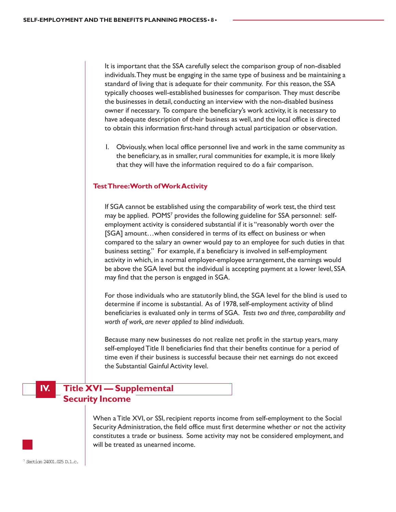It is important that the SSA carefully select the comparison group of non-disabled individuals. They must be engaging in the same type of business and be maintaining a standard of living that is adequate for their community. For this reason, the SSA typically chooses well-established businesses for comparison. They must describe the businesses in detail, conducting an interview with the non-disabled business owner if necessary. To compare the beneficiary's work activity, it is necessary to have adequate description of their business as well, and the local office is directed to obtain this information first-hand through actual participation or observation.

1. Obviously, when local office personnel live and work in the same community as the beneficiary, as in smaller, rural communities for example, it is more likely that they will have the information required to do a fair comparison.

#### **Test Three: Worth of Work Activity**

If SGA cannot be established using the comparability of work test, the third test may be applied. POMS<sup>7</sup> provides the following guideline for SSA personnel: selfemployment activity is considered substantial if it is "reasonably worth over the [SGA] amount…when considered in terms of its effect on business or when compared to the salary an owner would pay to an employee for such duties in that business setting." For example, if a beneficiary is involved in self-employment activity in which, in a normal employer-employee arrangement, the earnings would be above the SGA level but the individual is accepting payment at a lower level, SSA may find that the person is engaged in SGA.

For those individuals who are statutorily blind, the SGA level for the blind is used to determine if income is substantial. As of 1978, self-employment activity of blind beneficiaries is evaluated only in terms of SGA. *Tests two and three, comparability and worth of work, are never applied to blind individuals.*

Because many new businesses do not realize net profit in the startup years, many self-employed Title II beneficiaries find that their benefits continue for a period of time even if their business is successful because their net earnings do not exceed the Substantial Gainful Activity level.

## **IV. Title XVI — Supplemental Security Income**

When a Title XVI, or SSI, recipient reports income from self-employment to the Social Security Administration, the field office must first determine whether or not the activity constitutes a trade or business. Some activity may not be considered employment, and will be treated as unearned income.

7 Section 24001.025 D.1.c.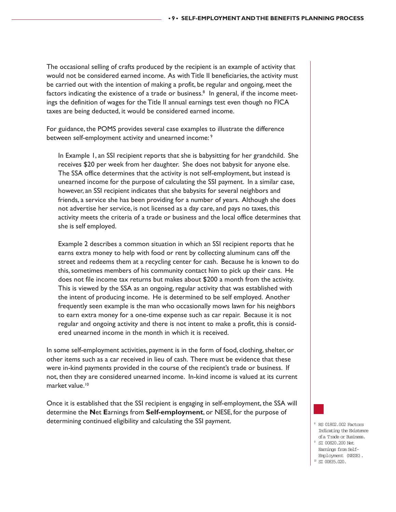The occasional selling of crafts produced by the recipient is an example of activity that would not be considered earned income. As with Title II beneficiaries, the activity must be carried out with the intention of making a profit, be regular and ongoing, meet the factors indicating the existence of a trade or business. $^8\,$  In general, if the income meetings the definition of wages for the Title II annual earnings test even though no FICA taxes are being deducted, it would be considered earned income.

For guidance, the POMS provides several case examples to illustrate the difference between self-employment activity and unearned income: 9

In Example 1, an SSI recipient reports that she is babysitting for her grandchild. She receives \$20 per week from her daughter. She does not babysit for anyone else. The SSA office determines that the activity is not self-employment, but instead is unearned income for the purpose of calculating the SSI payment. In a similar case, however, an SSI recipient indicates that she babysits for several neighbors and friends, a service she has been providing for a number of years. Although she does not advertise her service, is not licensed as a day care, and pays no taxes, this activity meets the criteria of a trade or business and the local office determines that she is self employed.

Example 2 describes a common situation in which an SSI recipient reports that he earns extra money to help with food or rent by collecting aluminum cans off the street and redeems them at a recycling center for cash. Because he is known to do this, sometimes members of his community contact him to pick up their cans. He does not file income tax returns but makes about \$200 a month from the activity. This is viewed by the SSA as an ongoing, regular activity that was established with the intent of producing income. He is determined to be self employed. Another frequently seen example is the man who occasionally mows lawn for his neighbors to earn extra money for a one-time expense such as car repair. Because it is not regular and ongoing activity and there is not intent to make a profit, this is considered unearned income in the month in which it is received.

In some self-employment activities, payment is in the form of food, clothing, shelter, or other items such as a car received in lieu of cash. There must be evidence that these were in-kind payments provided in the course of the recipient's trade or business. If not, then they are considered unearned income. In-kind income is valued at its current market value.<sup>10</sup>

Once it is established that the SSI recipient is engaging in self-employment, the SSA will determine the **N**et **E**arnings from **Self-employment**, or NESE, for the purpose of determining continued eligibility and calculating the SSI payment.



- RS 01802.002 Factors Indicating the Existence of a Trade or Business. 9
- $^{\circ}\,$  SI 00820.200 Net Earnings from Self-Employment (NESE).  $^{\text{\tiny{10}}}$  SI 00835.020.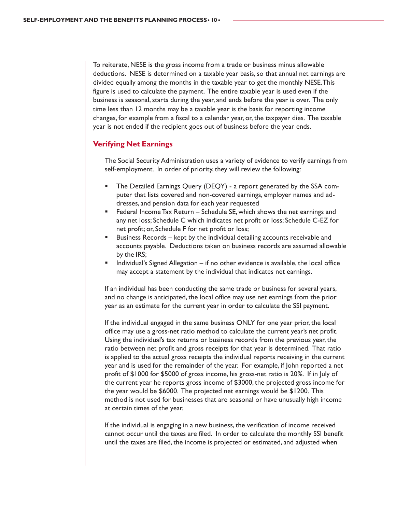To reiterate, NESE is the gross income from a trade or business minus allowable deductions. NESE is determined on a taxable year basis, so that annual net earnings are divided equally among the months in the taxable year to get the monthly NESE. This figure is used to calculate the payment. The entire taxable year is used even if the business is seasonal, starts during the year, and ends before the year is over. The only time less than 12 months may be a taxable year is the basis for reporting income changes, for example from a fiscal to a calendar year, or, the taxpayer dies. The taxable year is not ended if the recipient goes out of business before the year ends.

#### **Verifying Net Earnings**

The Social Security Administration uses a variety of evidence to verify earnings from self-employment. In order of priority, they will review the following:

- The Detailed Earnings Query (DEQY) a report generated by the SSA computer that lists covered and non-covered earnings, employer names and addresses, and pension data for each year requested
- Federal Income Tax Return Schedule SE, which shows the net earnings and any net loss; Schedule C which indicates net profit or loss; Schedule C-EZ for net profit; or, Schedule F for net profit or loss;
- Business Records kept by the individual detailing accounts receivable and accounts payable. Deductions taken on business records are assumed allowable by the IRS;
- Individual's Signed Allegation if no other evidence is available, the local office may accept a statement by the individual that indicates net earnings.

If an individual has been conducting the same trade or business for several years, and no change is anticipated, the local office may use net earnings from the prior year as an estimate for the current year in order to calculate the SSI payment.

If the individual engaged in the same business ONLY for one year prior, the local office may use a gross-net ratio method to calculate the current year's net profit. Using the individual's tax returns or business records from the previous year, the ratio between net profit and gross receipts for that year is determined. That ratio is applied to the actual gross receipts the individual reports receiving in the current year and is used for the remainder of the year. For example, if John reported a net profit of \$1000 for \$5000 of gross income, his gross-net ratio is 20%. If in July of the current year he reports gross income of \$3000, the projected gross income for the year would be \$6000. The projected net earnings would be \$1200. This method is not used for businesses that are seasonal or have unusually high income at certain times of the year.

If the individual is engaging in a new business, the verification of income received cannot occur until the taxes are filed. In order to calculate the monthly SSI benefit until the taxes are filed, the income is projected or estimated, and adjusted when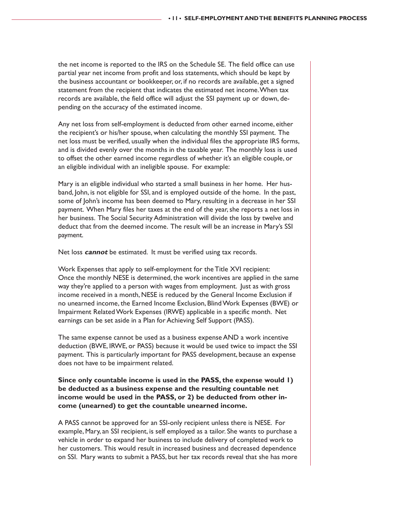the net income is reported to the IRS on the Schedule SE. The field office can use partial year net income from profit and loss statements, which should be kept by the business accountant or bookkeeper, or, if no records are available, get a signed statement from the recipient that indicates the estimated net income. When tax records are available, the field office will adjust the SSI payment up or down, depending on the accuracy of the estimated income.

Any net loss from self-employment is deducted from other earned income, either the recipient's or his/her spouse, when calculating the monthly SSI payment. The net loss must be verified, usually when the individual files the appropriate IRS forms, and is divided evenly over the months in the taxable year. The monthly loss is used to offset the other earned income regardless of whether it's an eligible couple, or an eligible individual with an ineligible spouse. For example:

Mary is an eligible individual who started a small business in her home. Her husband, John, is not eligible for SSI, and is employed outside of the home. In the past, some of John's income has been deemed to Mary, resulting in a decrease in her SSI payment. When Mary files her taxes at the end of the year, she reports a net loss in her business. The Social Security Administration will divide the loss by twelve and deduct that from the deemed income. The result will be an increase in Mary's SSI payment.

Net loss **cannot** be estimated. It must be verified using tax records.

Work Expenses that apply to self-employment for the Title XVI recipient: Once the monthly NESE is determined, the work incentives are applied in the same way they're applied to a person with wages from employment. Just as with gross income received in a month, NESE is reduced by the General Income Exclusion if no unearned income, the Earned Income Exclusion, Blind Work Expenses (BWE) or Impairment Related Work Expenses (IRWE) applicable in a specific month. Net earnings can be set aside in a Plan for Achieving Self Support (PASS).

The same expense cannot be used as a business expense AND a work incentive deduction (BWE, IRWE, or PASS) because it would be used twice to impact the SSI payment. This is particularly important for PASS development, because an expense does not have to be impairment related.

#### **Since only countable income is used in the PASS, the expense would 1) be deducted as a business expense and the resulting countable net income would be used in the PASS, or 2) be deducted from other income (unearned) to get the countable unearned income.**

A PASS cannot be approved for an SSI-only recipient unless there is NESE. For example, Mary, an SSI recipient, is self employed as a tailor. She wants to purchase a vehicle in order to expand her business to include delivery of completed work to her customers. This would result in increased business and decreased dependence on SSI. Mary wants to submit a PASS, but her tax records reveal that she has more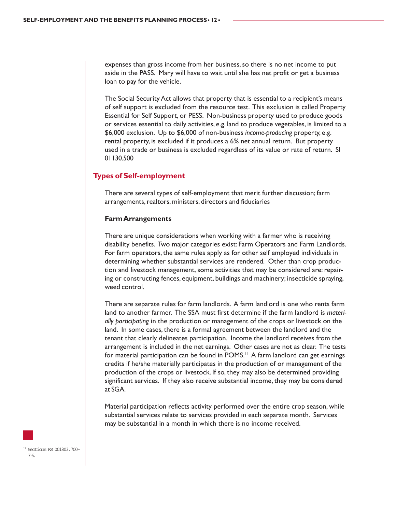expenses than gross income from her business, so there is no net income to put aside in the PASS. Mary will have to wait until she has net profit or get a business loan to pay for the vehicle.

The Social Security Act allows that property that is essential to a recipient's means of self support is excluded from the resource test. This exclusion is called Property Essential for Self Support, or PESS. Non-business property used to produce goods or services essential to daily activities, e.g. land to produce vegetables, is limited to a \$6,000 exclusion. Up to \$6,000 of non-business *income-producing* property, e.g. rental property, is excluded if it produces a 6% net annual return. But property used in a trade or business is excluded regardless of its value or rate of return. SI 01130.500

#### **Types of Self-employment**

There are several types of self-employment that merit further discussion; farm arrangements, realtors, ministers, directors and fiduciaries

#### **Farm Arrangements**

There are unique considerations when working with a farmer who is receiving disability benefits. Two major categories exist: Farm Operators and Farm Landlords. For farm operators, the same rules apply as for other self employed individuals in determining whether substantial services are rendered. Other than crop production and livestock management, some activities that may be considered are: repairing or constructing fences, equipment, buildings and machinery; insecticide spraying, weed control.

There are separate rules for farm landlords. A farm landlord is one who rents farm land to another farmer. The SSA must first determine if the farm landlord is *materially participating* in the production or management of the crops or livestock on the land. In some cases, there is a formal agreement between the landlord and the tenant that clearly delineates participation. Income the landlord receives from the arrangement is included in the net earnings. Other cases are not as clear. The tests for material participation can be found in POMS.<sup>11</sup> A farm landlord can get earnings credits if he/she materially participates in the production of or management of the production of the crops or livestock. If so, they may also be determined providing significant services. If they also receive substantial income, they may be considered at SGA.

Material participation reflects activity performed over the entire crop season, while substantial services relate to services provided in each separate month. Services may be substantial in a month in which there is no income received.

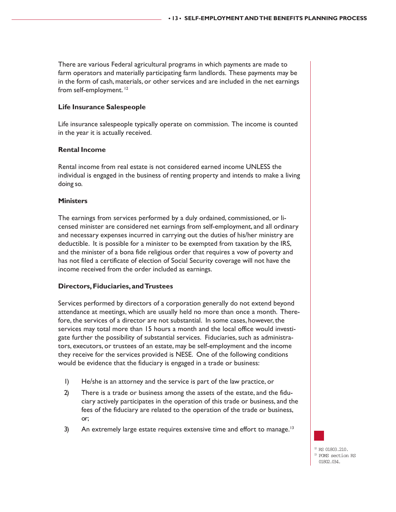There are various Federal agricultural programs in which payments are made to farm operators and materially participating farm landlords. These payments may be in the form of cash, materials, or other services and are included in the net earnings from self-employment.<sup>12</sup>

#### **Life Insurance Salespeople**

Life insurance salespeople typically operate on commission. The income is counted in the year it is actually received.

#### **Rental Income**

Rental income from real estate is not considered earned income UNLESS the individual is engaged in the business of renting property and intends to make a living doing so.

#### **Ministers**

The earnings from services performed by a duly ordained, commissioned, or licensed minister are considered net earnings from self-employment, and all ordinary and necessary expenses incurred in carrying out the duties of his/her ministry are deductible. It is possible for a minister to be exempted from taxation by the IRS, and the minister of a bona fide religious order that requires a vow of poverty and has not filed a certificate of election of Social Security coverage will not have the income received from the order included as earnings.

#### **Directors, Fiduciaries, and Trustees**

Services performed by directors of a corporation generally do not extend beyond attendance at meetings, which are usually held no more than once a month. Therefore, the services of a director are not substantial. In some cases, however, the services may total more than 15 hours a month and the local office would investigate further the possibility of substantial services. Fiduciaries, such as administrators, executors, or trustees of an estate, may be self-employment and the income they receive for the services provided is NESE. One of the following conditions would be evidence that the fiduciary is engaged in a trade or business:

- 1) He/she is an attorney and the service is part of the law practice, or
- 2) There is a trade or business among the assets of the estate, and the fiduciary actively participates in the operation of this trade or business, and the fees of the fiduciary are related to the operation of the trade or business, or;
- 3) An extremely large estate requires extensive time and effort to manage.<sup>13</sup>

RS 01803.210.  $^{\rm B}$  POMS section RS 01802.034.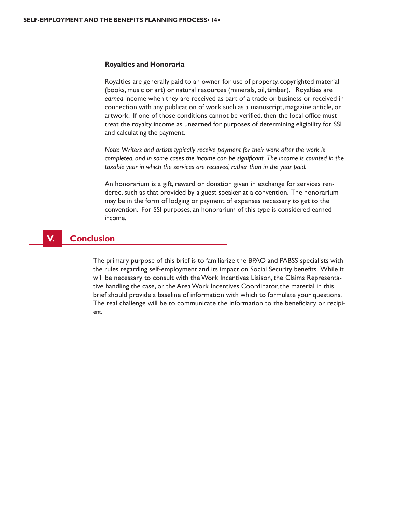#### **Royalties and Honoraria**

Royalties are generally paid to an owner for use of property, copyrighted material (books, music or art) or natural resources (minerals, oil, timber). Royalties are *earned* income when they are received as part of a trade or business or received in connection with any publication of work such as a manuscript, magazine article, or artwork. If one of those conditions cannot be verified, then the local office must treat the royalty income as unearned for purposes of determining eligibility for SSI and calculating the payment.

*Note: Writers and artists typically receive payment for their work after the work is completed, and in some cases the income can be significant. The income is counted in the taxable year in which the services are received, rather than in the year paid.*

An honorarium is a gift, reward or donation given in exchange for services rendered, such as that provided by a guest speaker at a convention. The honorarium may be in the form of lodging or payment of expenses necessary to get to the convention. For SSI purposes, an honorarium of this type is considered earned income.

#### **V. Conclusion**

The primary purpose of this brief is to familiarize the BPAO and PABSS specialists with the rules regarding self-employment and its impact on Social Security benefits. While it will be necessary to consult with the Work Incentives Liaison, the Claims Representative handling the case, or the Area Work Incentives Coordinator, the material in this brief should provide a baseline of information with which to formulate your questions. The real challenge will be to communicate the information to the beneficiary or recipient.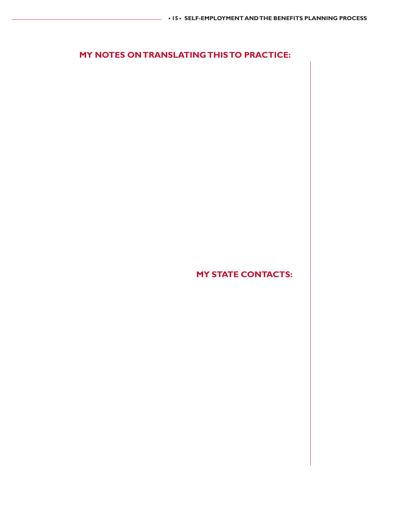## **MY NOTES ON TRANSLATING THIS TO PRACTICE:**

**MY STATE CONTACTS:**